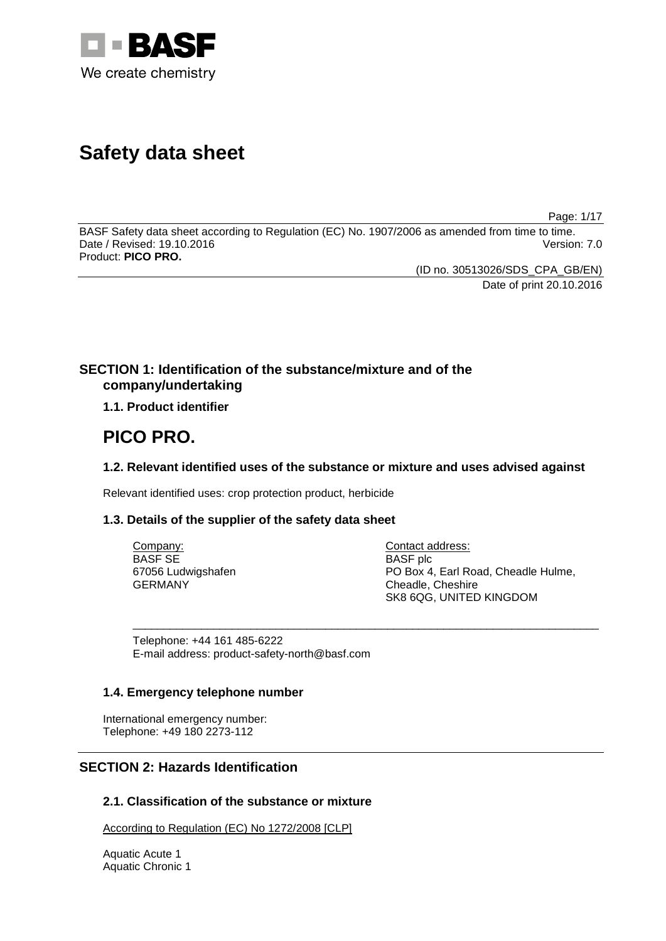

# **Safety data sheet**

Page: 1/17

BASF Safety data sheet according to Regulation (EC) No. 1907/2006 as amended from time to time. Date / Revised: 19.10.2016 Product: **PICO PRO.**

(ID no. 30513026/SDS\_CPA\_GB/EN)

Date of print 20.10.2016

# **SECTION 1: Identification of the substance/mixture and of the company/undertaking**

**1.1. Product identifier**

# **PICO PRO.**

# **1.2. Relevant identified uses of the substance or mixture and uses advised against**

Relevant identified uses: crop protection product, herbicide

# **1.3. Details of the supplier of the safety data sheet**

| Company:           | Contact address:                    |
|--------------------|-------------------------------------|
| BASF SE            | <b>BASF</b> plc                     |
| 67056 Ludwigshafen | PO Box 4. Earl Road. Cheadle Hulme. |
| GERMANY            | Cheadle, Cheshire                   |
|                    | SK8 6QG, UNITED KINGDOM             |

\_\_\_\_\_\_\_\_\_\_\_\_\_\_\_\_\_\_\_\_\_\_\_\_\_\_\_\_\_\_\_\_\_\_\_\_\_\_\_\_\_\_\_\_\_\_\_\_\_\_\_\_\_\_\_\_\_\_\_\_\_\_\_\_\_\_\_\_\_\_\_\_\_\_\_

Telephone: +44 161 485-6222 E-mail address: product-safety-north@basf.com

# **1.4. Emergency telephone number**

International emergency number: Telephone: +49 180 2273-112

# **SECTION 2: Hazards Identification**

# **2.1. Classification of the substance or mixture**

According to Regulation (EC) No 1272/2008 [CLP]

Aquatic Acute 1 Aquatic Chronic 1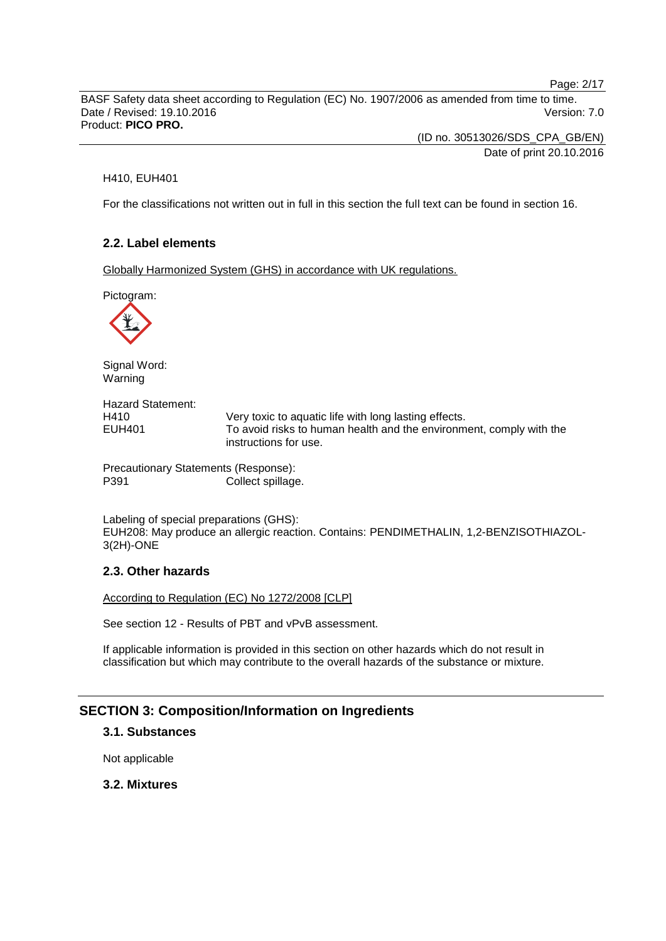Page: 2/17

BASF Safety data sheet according to Regulation (EC) No. 1907/2006 as amended from time to time. Date / Revised: 19.10.2016 Version: 7.0 Product: **PICO PRO.**

> (ID no. 30513026/SDS\_CPA\_GB/EN) Date of print 20.10.2016

### H410, EUH401

For the classifications not written out in full in this section the full text can be found in section 16.

# **2.2. Label elements**

Globally Harmonized System (GHS) in accordance with UK regulations.

Pictogram:



Signal Word: Warning

Hazard Statement: H410 Very toxic to aquatic life with long lasting effects.<br>EUH401 To avoid risks to human health and the environm To avoid risks to human health and the environment, comply with the instructions for use.

Precautionary Statements (Response): P391 Collect spillage.

Labeling of special preparations (GHS): EUH208: May produce an allergic reaction. Contains: PENDIMETHALIN, 1,2-BENZISOTHIAZOL-3(2H)-ONE

# **2.3. Other hazards**

According to Regulation (EC) No 1272/2008 [CLP]

See section 12 - Results of PBT and vPvB assessment.

If applicable information is provided in this section on other hazards which do not result in classification but which may contribute to the overall hazards of the substance or mixture.

# **SECTION 3: Composition/Information on Ingredients**

# **3.1. Substances**

Not applicable

# **3.2. Mixtures**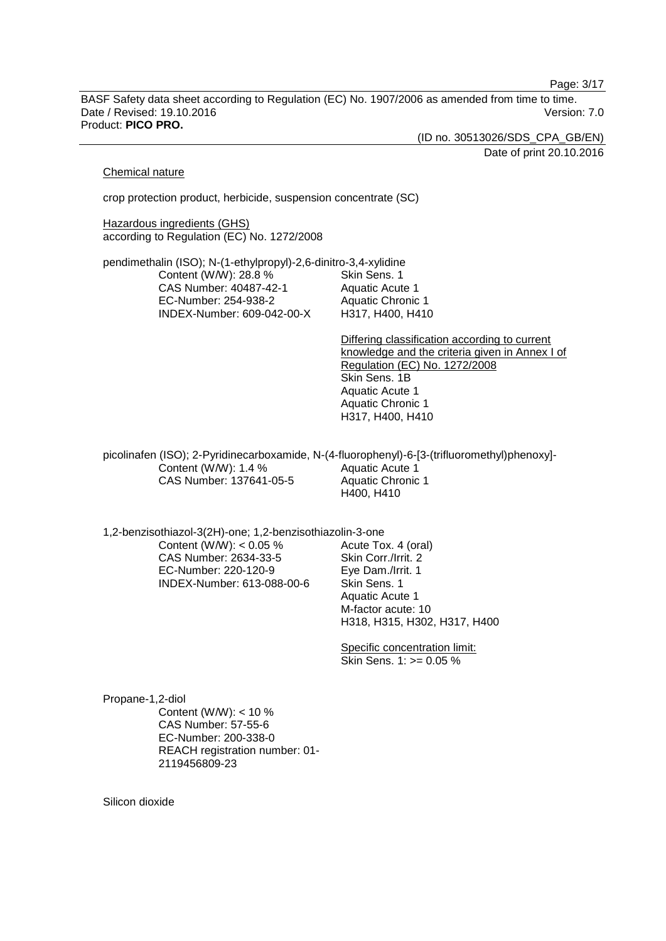Page: 3/17

BASF Safety data sheet according to Regulation (EC) No. 1907/2006 as amended from time to time. Date / Revised: 19.10.2016 Version: 7.0 Product: **PICO PRO.**

(ID no. 30513026/SDS\_CPA\_GB/EN)

Date of print 20.10.2016

#### Chemical nature

crop protection product, herbicide, suspension concentrate (SC)

**Hazardous ingredients (GHS)** according to Regulation (EC) No. 1272/2008

pendimethalin (ISO); N-(1-ethylpropyl)-2,6-dinitro-3,4-xylidine Content (W/W): 28.8 % CAS Number: 40487-42-1 EC-Number: 254-938-2 INDEX-Number: 609-042-00-X Skin Sens. 1 Aquatic Acute 1 Aquatic Chronic 1 H317, H400, H410

> Differing classification according to current knowledge and the criteria given in Annex I of Regulation (EC) No. 1272/2008 Skin Sens. 1B Aquatic Acute 1 Aquatic Chronic 1 H317, H400, H410

picolinafen (ISO); 2-Pyridinecarboxamide, N-(4-fluorophenyl)-6-[3-(trifluoromethyl)phenoxy]- Content (W/W): 1.4 % CAS Number: 137641-05-5 Aquatic Acute 1 Aquatic Chronic 1 H400, H410

1,2-benzisothiazol-3(2H)-one; 1,2-benzisothiazolin-3-one

Content (W/W):  $< 0.05 \%$ CAS Number: 2634-33-5 EC-Number: 220-120-9 INDEX-Number: 613-088-00-6 Acute Tox. 4 (oral) Skin Corr./Irrit. 2 Eye Dam./Irrit. 1 Skin Sens. 1 Aquatic Acute 1 M-factor acute: 10 H318, H315, H302, H317, H400

Specific concentration limit: Skin Sens. 1: >= 0.05 %

Propane-1,2-diol Content (W/W): < 10 % CAS Number: 57-55-6 EC-Number: 200-338-0 REACH registration number: 01- 2119456809-23

Silicon dioxide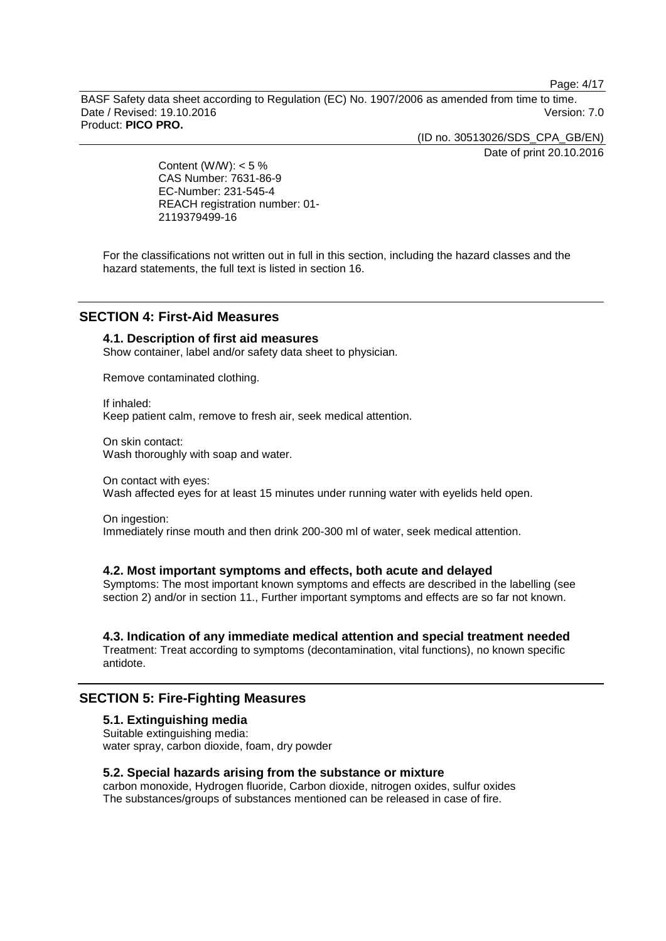Page: 4/17

BASF Safety data sheet according to Regulation (EC) No. 1907/2006 as amended from time to time. Date / Revised: 19.10.2016 Version: 7.0 Product: **PICO PRO.**

(ID no. 30513026/SDS\_CPA\_GB/EN)

Date of print 20.10.2016

Content (W/W):  $< 5 \%$ CAS Number: 7631-86-9 EC-Number: 231-545-4 REACH registration number: 01- 2119379499-16

For the classifications not written out in full in this section, including the hazard classes and the hazard statements, the full text is listed in section 16.

# **SECTION 4: First-Aid Measures**

# **4.1. Description of first aid measures**

Show container, label and/or safety data sheet to physician.

Remove contaminated clothing.

If inhaled: Keep patient calm, remove to fresh air, seek medical attention.

On skin contact: Wash thoroughly with soap and water.

On contact with eyes: Wash affected eyes for at least 15 minutes under running water with eyelids held open.

On ingestion: Immediately rinse mouth and then drink 200-300 ml of water, seek medical attention.

### **4.2. Most important symptoms and effects, both acute and delayed**

Symptoms: The most important known symptoms and effects are described in the labelling (see section 2) and/or in section 11., Further important symptoms and effects are so far not known.

# **4.3. Indication of any immediate medical attention and special treatment needed**

Treatment: Treat according to symptoms (decontamination, vital functions), no known specific antidote.

# **SECTION 5: Fire-Fighting Measures**

### **5.1. Extinguishing media**

Suitable extinguishing media: water spray, carbon dioxide, foam, dry powder

# **5.2. Special hazards arising from the substance or mixture**

carbon monoxide, Hydrogen fluoride, Carbon dioxide, nitrogen oxides, sulfur oxides The substances/groups of substances mentioned can be released in case of fire.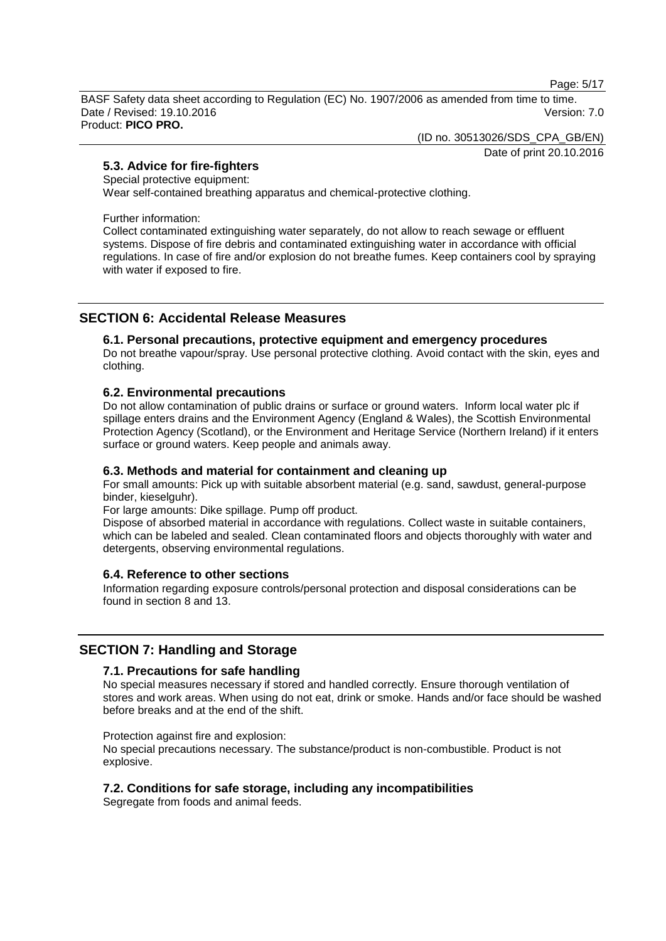Page: 5/17

BASF Safety data sheet according to Regulation (EC) No. 1907/2006 as amended from time to time. Date / Revised: 19.10.2016 Version: 7.0 Product: **PICO PRO.**

(ID no. 30513026/SDS\_CPA\_GB/EN)

Date of print 20.10.2016

# **5.3. Advice for fire-fighters**

# Special protective equipment:

Wear self-contained breathing apparatus and chemical-protective clothing.

Further information:

Collect contaminated extinguishing water separately, do not allow to reach sewage or effluent systems. Dispose of fire debris and contaminated extinguishing water in accordance with official regulations. In case of fire and/or explosion do not breathe fumes. Keep containers cool by spraying with water if exposed to fire.

# **SECTION 6: Accidental Release Measures**

# **6.1. Personal precautions, protective equipment and emergency procedures**

Do not breathe vapour/spray. Use personal protective clothing. Avoid contact with the skin, eyes and clothing.

# **6.2. Environmental precautions**

Do not allow contamination of public drains or surface or ground waters. Inform local water plc if spillage enters drains and the Environment Agency (England & Wales), the Scottish Environmental Protection Agency (Scotland), or the Environment and Heritage Service (Northern Ireland) if it enters surface or ground waters. Keep people and animals away.

# **6.3. Methods and material for containment and cleaning up**

For small amounts: Pick up with suitable absorbent material (e.g. sand, sawdust, general-purpose binder, kieselguhr).

For large amounts: Dike spillage. Pump off product.

Dispose of absorbed material in accordance with regulations. Collect waste in suitable containers, which can be labeled and sealed. Clean contaminated floors and objects thoroughly with water and detergents, observing environmental regulations.

# **6.4. Reference to other sections**

Information regarding exposure controls/personal protection and disposal considerations can be found in section 8 and 13.

# **SECTION 7: Handling and Storage**

# **7.1. Precautions for safe handling**

No special measures necessary if stored and handled correctly. Ensure thorough ventilation of stores and work areas. When using do not eat, drink or smoke. Hands and/or face should be washed before breaks and at the end of the shift.

Protection against fire and explosion:

No special precautions necessary. The substance/product is non-combustible. Product is not explosive.

# **7.2. Conditions for safe storage, including any incompatibilities**

Segregate from foods and animal feeds.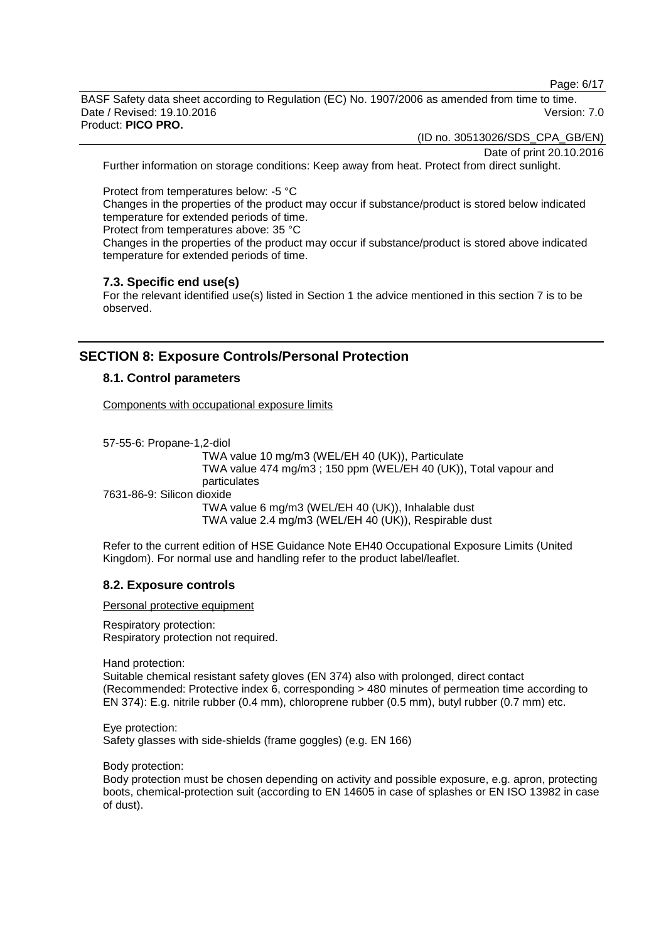Page: 6/17

BASF Safety data sheet according to Regulation (EC) No. 1907/2006 as amended from time to time. Date / Revised: 19.10.2016 **Version: 7.0** Product: **PICO PRO.**

(ID no. 30513026/SDS\_CPA\_GB/EN)

Date of print 20.10.2016

Further information on storage conditions: Keep away from heat. Protect from direct sunlight.

Protect from temperatures below: -5 °C

Changes in the properties of the product may occur if substance/product is stored below indicated temperature for extended periods of time.

Protect from temperatures above: 35 °C

Changes in the properties of the product may occur if substance/product is stored above indicated temperature for extended periods of time.

### **7.3. Specific end use(s)**

For the relevant identified use(s) listed in Section 1 the advice mentioned in this section 7 is to be observed.

# **SECTION 8: Exposure Controls/Personal Protection**

# **8.1. Control parameters**

Components with occupational exposure limits

57-55-6: Propane-1,2-diol TWA value 10 mg/m3 (WEL/EH 40 (UK)), Particulate

TWA value 474 mg/m3 ; 150 ppm (WEL/EH 40 (UK)), Total vapour and particulates 7631-86-9: Silicon dioxide TWA value 6 mg/m3 (WEL/EH 40 (UK)), Inhalable dust

TWA value 2.4 mg/m3 (WEL/EH 40 (UK)), Respirable dust

Refer to the current edition of HSE Guidance Note EH40 Occupational Exposure Limits (United Kingdom). For normal use and handling refer to the product label/leaflet.

# **8.2. Exposure controls**

Personal protective equipment

Respiratory protection: Respiratory protection not required.

Hand protection:

Suitable chemical resistant safety gloves (EN 374) also with prolonged, direct contact (Recommended: Protective index 6, corresponding > 480 minutes of permeation time according to EN 374): E.g. nitrile rubber (0.4 mm), chloroprene rubber (0.5 mm), butyl rubber (0.7 mm) etc.

Eye protection: Safety glasses with side-shields (frame goggles) (e.g. EN 166)

Body protection:

Body protection must be chosen depending on activity and possible exposure, e.g. apron, protecting boots, chemical-protection suit (according to EN 14605 in case of splashes or EN ISO 13982 in case of dust).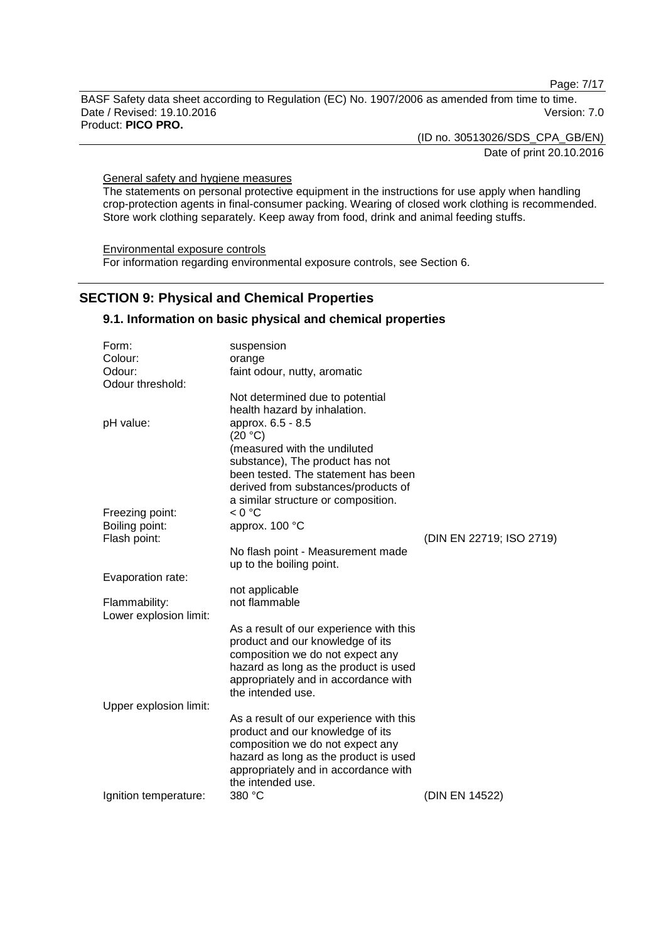Page: 7/17

BASF Safety data sheet according to Regulation (EC) No. 1907/2006 as amended from time to time. Date / Revised: 19.10.2016 Version: 7.0 Product: **PICO PRO.**

(ID no. 30513026/SDS\_CPA\_GB/EN)

Date of print 20.10.2016

General safety and hygiene measures

The statements on personal protective equipment in the instructions for use apply when handling crop-protection agents in final-consumer packing. Wearing of closed work clothing is recommended. Store work clothing separately. Keep away from food, drink and animal feeding stuffs.

Environmental exposure controls For information regarding environmental exposure controls, see Section 6.

# **SECTION 9: Physical and Chemical Properties**

### **9.1. Information on basic physical and chemical properties**

| Form:                  | suspension                              |                          |
|------------------------|-----------------------------------------|--------------------------|
| Colour:                | orange                                  |                          |
| Odour:                 | faint odour, nutty, aromatic            |                          |
| Odour threshold:       |                                         |                          |
|                        | Not determined due to potential         |                          |
|                        | health hazard by inhalation.            |                          |
| pH value:              | approx. 6.5 - 8.5                       |                          |
|                        | (20 °C)                                 |                          |
|                        | (measured with the undiluted            |                          |
|                        | substance), The product has not         |                          |
|                        | been tested. The statement has been     |                          |
|                        | derived from substances/products of     |                          |
|                        | a similar structure or composition.     |                          |
| Freezing point:        | < 0 °C                                  |                          |
| Boiling point:         | approx. 100 °C                          |                          |
| Flash point:           |                                         | (DIN EN 22719; ISO 2719) |
|                        | No flash point - Measurement made       |                          |
|                        | up to the boiling point.                |                          |
| Evaporation rate:      |                                         |                          |
| Flammability:          | not applicable<br>not flammable         |                          |
| Lower explosion limit: |                                         |                          |
|                        | As a result of our experience with this |                          |
|                        | product and our knowledge of its        |                          |
|                        | composition we do not expect any        |                          |
|                        | hazard as long as the product is used   |                          |
|                        | appropriately and in accordance with    |                          |
|                        | the intended use.                       |                          |
| Upper explosion limit: |                                         |                          |
|                        | As a result of our experience with this |                          |
|                        | product and our knowledge of its        |                          |
|                        | composition we do not expect any        |                          |
|                        | hazard as long as the product is used   |                          |
|                        | appropriately and in accordance with    |                          |
|                        | the intended use.                       |                          |
| Ignition temperature:  | 380 °C                                  | (DIN EN 14522)           |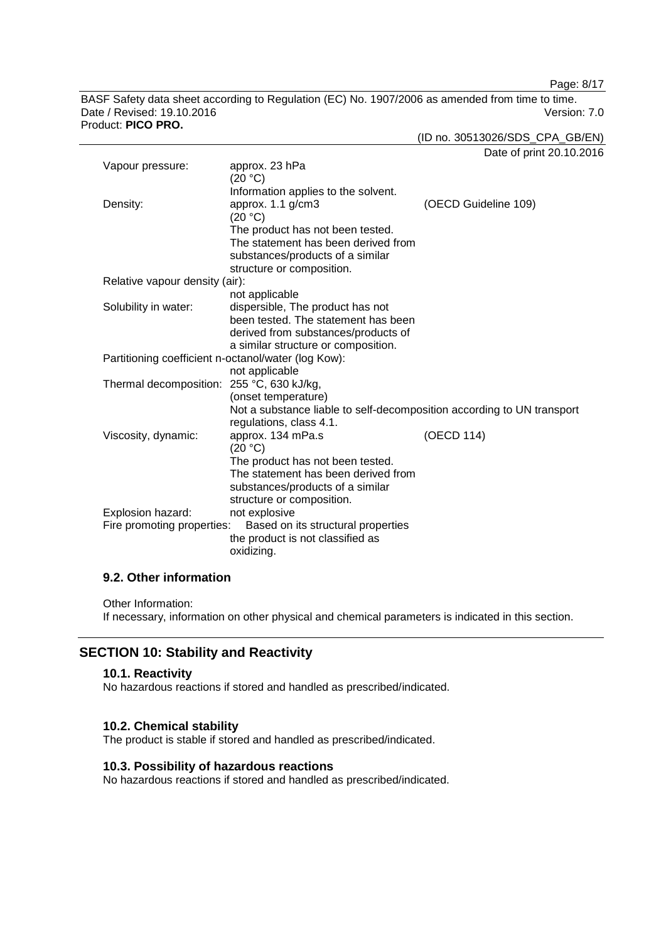Page: 8/17

BASF Safety data sheet according to Regulation (EC) No. 1907/2006 as amended from time to time. Date / Revised: 19.10.2016 Version: 7.0 Product: **PICO PRO.**

(ID no. 30513026/SDS\_CPA\_GB/EN)

Date of print 20.10.2016

| Vapour pressure:                                                 | approx. 23 hPa                                                         |                      |
|------------------------------------------------------------------|------------------------------------------------------------------------|----------------------|
|                                                                  | (20 °C)                                                                |                      |
|                                                                  | Information applies to the solvent.                                    |                      |
| Density:                                                         | approx. 1.1 g/cm3                                                      | (OECD Guideline 109) |
|                                                                  | (20 °C)                                                                |                      |
|                                                                  | The product has not been tested.                                       |                      |
|                                                                  | The statement has been derived from                                    |                      |
|                                                                  | substances/products of a similar                                       |                      |
|                                                                  | structure or composition.                                              |                      |
| Relative vapour density (air):                                   |                                                                        |                      |
|                                                                  | not applicable                                                         |                      |
| Solubility in water:                                             | dispersible, The product has not                                       |                      |
|                                                                  | been tested. The statement has been                                    |                      |
|                                                                  | derived from substances/products of                                    |                      |
|                                                                  | a similar structure or composition.                                    |                      |
| Partitioning coefficient n-octanol/water (log Kow):              | not applicable                                                         |                      |
|                                                                  |                                                                        |                      |
| Thermal decomposition: 255 °C, 630 kJ/kg,                        | (onset temperature)                                                    |                      |
|                                                                  | Not a substance liable to self-decomposition according to UN transport |                      |
|                                                                  | regulations, class 4.1.                                                |                      |
| Viscosity, dynamic:                                              | approx. 134 mPa.s                                                      | (OECD 114)           |
|                                                                  | (20 °C)                                                                |                      |
|                                                                  | The product has not been tested.                                       |                      |
|                                                                  | The statement has been derived from                                    |                      |
|                                                                  | substances/products of a similar                                       |                      |
|                                                                  | structure or composition.                                              |                      |
| Explosion hazard:                                                | not explosive                                                          |                      |
| Fire promoting properties:<br>Based on its structural properties |                                                                        |                      |
|                                                                  | the product is not classified as                                       |                      |
|                                                                  | oxidizing.                                                             |                      |

# **9.2. Other information**

Other Information:

If necessary, information on other physical and chemical parameters is indicated in this section.

# **SECTION 10: Stability and Reactivity**

# **10.1. Reactivity**

No hazardous reactions if stored and handled as prescribed/indicated.

### **10.2. Chemical stability**

The product is stable if stored and handled as prescribed/indicated.

# **10.3. Possibility of hazardous reactions**

No hazardous reactions if stored and handled as prescribed/indicated.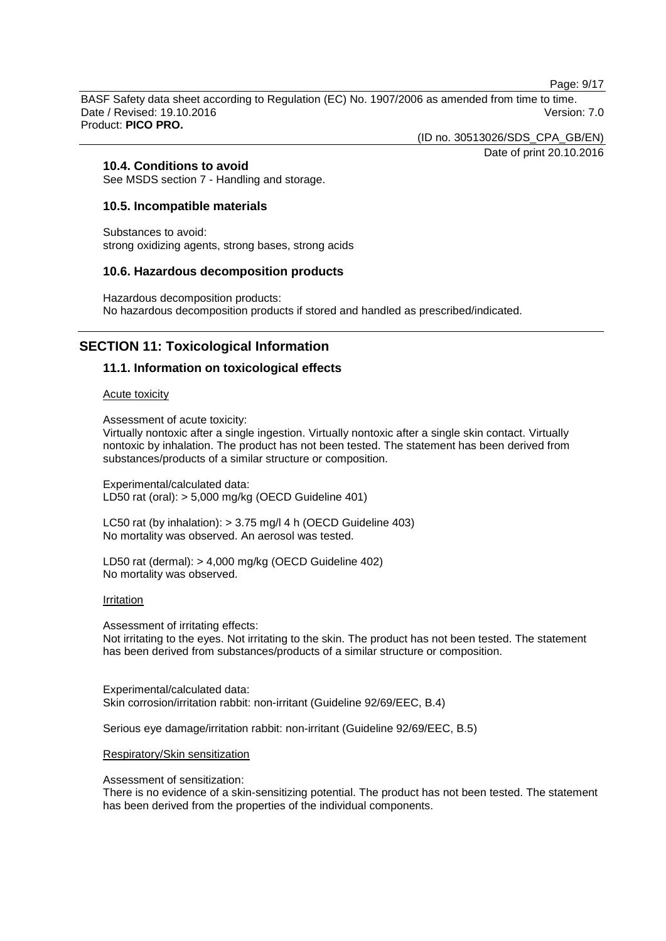Page: 9/17

BASF Safety data sheet according to Regulation (EC) No. 1907/2006 as amended from time to time. Date / Revised: 19.10.2016 Version: 7.0 Product: **PICO PRO.**

(ID no. 30513026/SDS\_CPA\_GB/EN)

Date of print 20.10.2016

# **10.4. Conditions to avoid**

See MSDS section 7 - Handling and storage.

### **10.5. Incompatible materials**

Substances to avoid: strong oxidizing agents, strong bases, strong acids

### **10.6. Hazardous decomposition products**

Hazardous decomposition products: No hazardous decomposition products if stored and handled as prescribed/indicated.

# **SECTION 11: Toxicological Information**

# **11.1. Information on toxicological effects**

#### Acute toxicity

Assessment of acute toxicity:

Virtually nontoxic after a single ingestion. Virtually nontoxic after a single skin contact. Virtually nontoxic by inhalation. The product has not been tested. The statement has been derived from substances/products of a similar structure or composition.

Experimental/calculated data: LD50 rat (oral): > 5,000 mg/kg (OECD Guideline 401)

LC50 rat (by inhalation): > 3.75 mg/l 4 h (OECD Guideline 403) No mortality was observed. An aerosol was tested.

LD50 rat (dermal): > 4,000 mg/kg (OECD Guideline 402) No mortality was observed.

### Irritation

Assessment of irritating effects: Not irritating to the eyes. Not irritating to the skin. The product has not been tested. The statement has been derived from substances/products of a similar structure or composition.

Experimental/calculated data: Skin corrosion/irritation rabbit: non-irritant (Guideline 92/69/EEC, B.4)

Serious eye damage/irritation rabbit: non-irritant (Guideline 92/69/EEC, B.5)

### Respiratory/Skin sensitization

Assessment of sensitization:

There is no evidence of a skin-sensitizing potential. The product has not been tested. The statement has been derived from the properties of the individual components.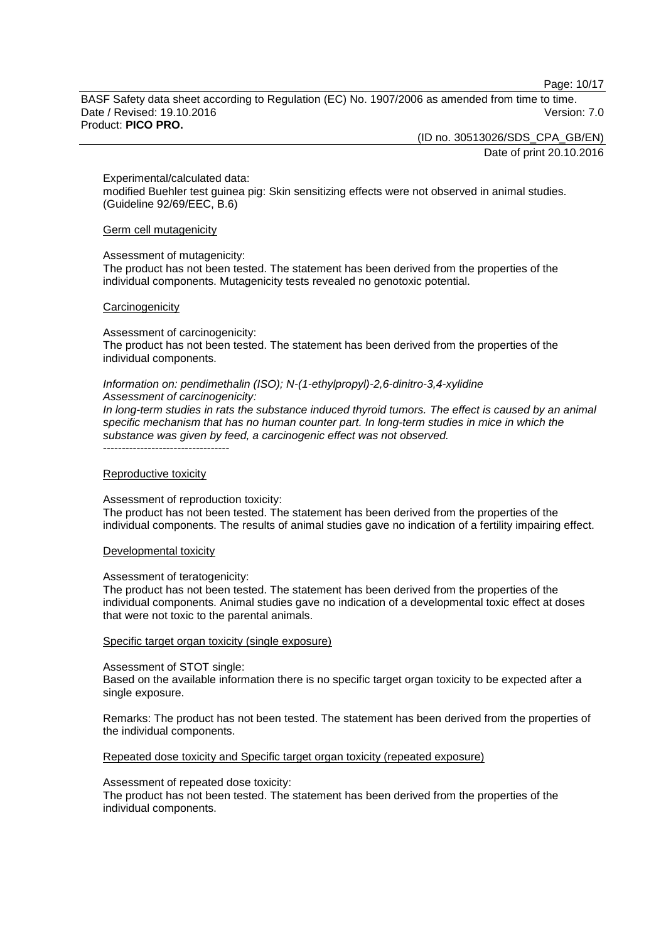Page: 10/17

BASF Safety data sheet according to Regulation (EC) No. 1907/2006 as amended from time to time. Date / Revised: 19.10.2016 **Version: 7.0** Product: **PICO PRO.**

(ID no. 30513026/SDS\_CPA\_GB/EN)

Date of print 20.10.2016

Experimental/calculated data:

modified Buehler test guinea pig: Skin sensitizing effects were not observed in animal studies. (Guideline 92/69/EEC, B.6)

Germ cell mutagenicity

#### Assessment of mutagenicity:

The product has not been tested. The statement has been derived from the properties of the individual components. Mutagenicity tests revealed no genotoxic potential.

#### **Carcinogenicity**

Assessment of carcinogenicity:

The product has not been tested. The statement has been derived from the properties of the individual components.

#### *Information on: pendimethalin (ISO); N-(1-ethylpropyl)-2,6-dinitro-3,4-xylidine Assessment of carcinogenicity:*

*In long-term studies in rats the substance induced thyroid tumors. The effect is caused by an animal specific mechanism that has no human counter part. In long-term studies in mice in which the substance was given by feed, a carcinogenic effect was not observed.* ----------------------------------

#### Reproductive toxicity

Assessment of reproduction toxicity:

The product has not been tested. The statement has been derived from the properties of the individual components. The results of animal studies gave no indication of a fertility impairing effect.

### Developmental toxicity

#### Assessment of teratogenicity:

The product has not been tested. The statement has been derived from the properties of the individual components. Animal studies gave no indication of a developmental toxic effect at doses that were not toxic to the parental animals.

### Specific target organ toxicity (single exposure)

#### Assessment of STOT single:

Based on the available information there is no specific target organ toxicity to be expected after a single exposure.

Remarks: The product has not been tested. The statement has been derived from the properties of the individual components.

### Repeated dose toxicity and Specific target organ toxicity (repeated exposure)

#### Assessment of repeated dose toxicity:

The product has not been tested. The statement has been derived from the properties of the individual components.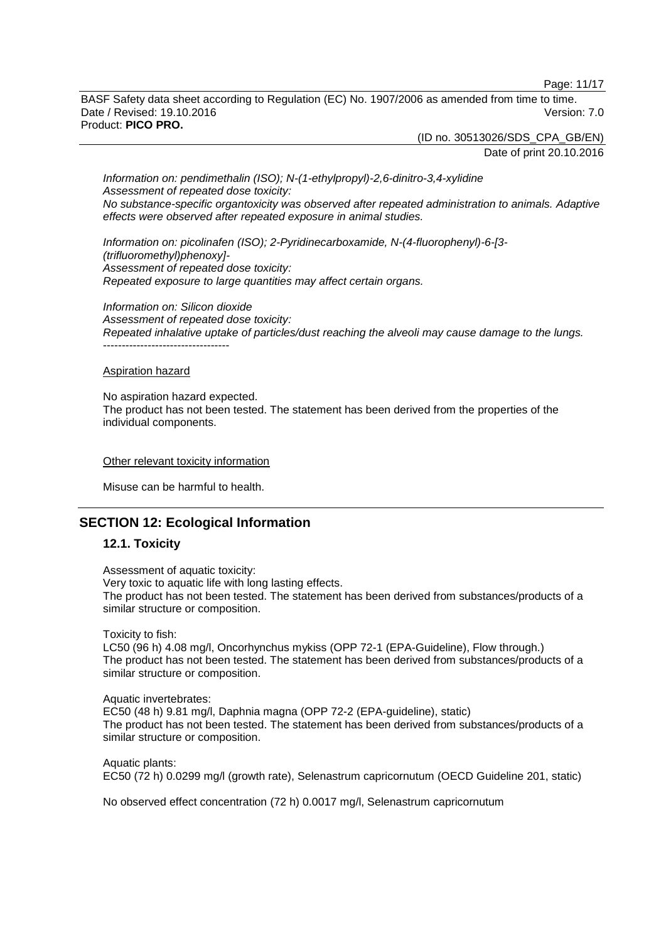Page: 11/17

BASF Safety data sheet according to Regulation (EC) No. 1907/2006 as amended from time to time. Date / Revised: 19.10.2016 **Version: 7.0** Product: **PICO PRO.**

(ID no. 30513026/SDS\_CPA\_GB/EN)

Date of print 20.10.2016

*Information on: pendimethalin (ISO); N-(1-ethylpropyl)-2,6-dinitro-3,4-xylidine Assessment of repeated dose toxicity: No substance-specific organtoxicity was observed after repeated administration to animals. Adaptive effects were observed after repeated exposure in animal studies.*

*Information on: picolinafen (ISO); 2-Pyridinecarboxamide, N-(4-fluorophenyl)-6-[3- (trifluoromethyl)phenoxy]- Assessment of repeated dose toxicity: Repeated exposure to large quantities may affect certain organs.*

*Information on: Silicon dioxide Assessment of repeated dose toxicity: Repeated inhalative uptake of particles/dust reaching the alveoli may cause damage to the lungs.* ----------------------------------

#### Aspiration hazard

No aspiration hazard expected. The product has not been tested. The statement has been derived from the properties of the individual components.

#### Other relevant toxicity information

Misuse can be harmful to health.

# **SECTION 12: Ecological Information**

### **12.1. Toxicity**

Assessment of aquatic toxicity: Very toxic to aquatic life with long lasting effects. The product has not been tested. The statement has been derived from substances/products of a similar structure or composition.

Toxicity to fish:

LC50 (96 h) 4.08 mg/l, Oncorhynchus mykiss (OPP 72-1 (EPA-Guideline), Flow through.) The product has not been tested. The statement has been derived from substances/products of a similar structure or composition.

Aquatic invertebrates: EC50 (48 h) 9.81 mg/l, Daphnia magna (OPP 72-2 (EPA-guideline), static) The product has not been tested. The statement has been derived from substances/products of a similar structure or composition.

Aquatic plants: EC50 (72 h) 0.0299 mg/l (growth rate), Selenastrum capricornutum (OECD Guideline 201, static)

No observed effect concentration (72 h) 0.0017 mg/l, Selenastrum capricornutum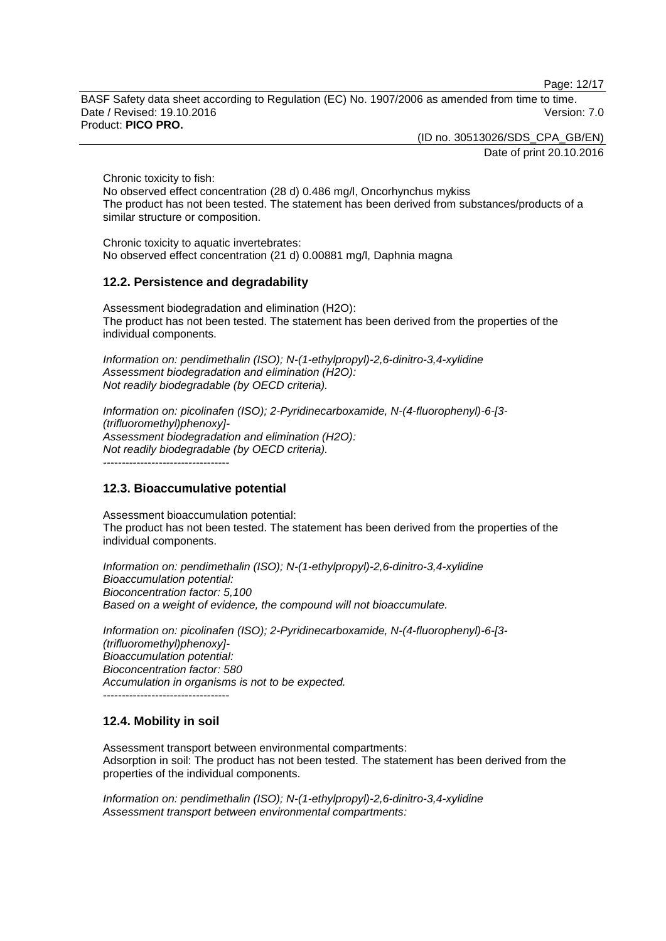Page: 12/17

BASF Safety data sheet according to Regulation (EC) No. 1907/2006 as amended from time to time. Date / Revised: 19.10.2016 **Version: 7.0** Product: **PICO PRO.**

(ID no. 30513026/SDS\_CPA\_GB/EN)

Date of print 20.10.2016

Chronic toxicity to fish:

No observed effect concentration (28 d) 0.486 mg/l, Oncorhynchus mykiss The product has not been tested. The statement has been derived from substances/products of a similar structure or composition.

Chronic toxicity to aquatic invertebrates: No observed effect concentration (21 d) 0.00881 mg/l, Daphnia magna

# **12.2. Persistence and degradability**

Assessment biodegradation and elimination (H2O): The product has not been tested. The statement has been derived from the properties of the individual components.

*Information on: pendimethalin (ISO); N-(1-ethylpropyl)-2,6-dinitro-3,4-xylidine Assessment biodegradation and elimination (H2O): Not readily biodegradable (by OECD criteria).*

*Information on: picolinafen (ISO); 2-Pyridinecarboxamide, N-(4-fluorophenyl)-6-[3- (trifluoromethyl)phenoxy]- Assessment biodegradation and elimination (H2O): Not readily biodegradable (by OECD criteria).* ----------------------------------

**12.3. Bioaccumulative potential**

Assessment bioaccumulation potential: The product has not been tested. The statement has been derived from the properties of the individual components.

*Information on: pendimethalin (ISO); N-(1-ethylpropyl)-2,6-dinitro-3,4-xylidine Bioaccumulation potential: Bioconcentration factor: 5,100 Based on a weight of evidence, the compound will not bioaccumulate.*

*Information on: picolinafen (ISO); 2-Pyridinecarboxamide, N-(4-fluorophenyl)-6-[3- (trifluoromethyl)phenoxy]- Bioaccumulation potential: Bioconcentration factor: 580 Accumulation in organisms is not to be expected.* ----------------------------------

# **12.4. Mobility in soil**

Assessment transport between environmental compartments: Adsorption in soil: The product has not been tested. The statement has been derived from the properties of the individual components.

*Information on: pendimethalin (ISO); N-(1-ethylpropyl)-2,6-dinitro-3,4-xylidine Assessment transport between environmental compartments:*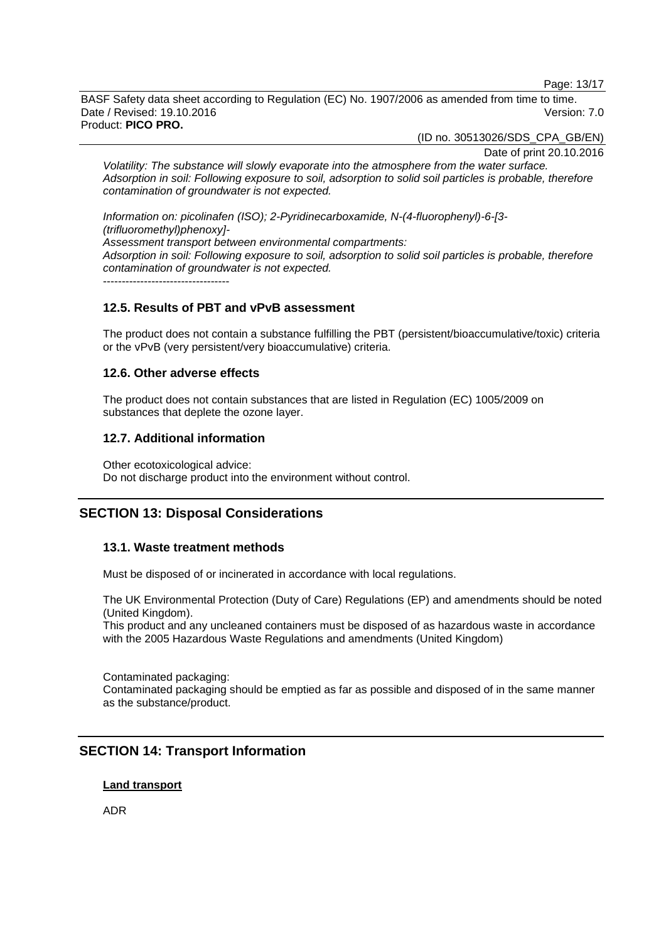Page: 13/17

BASF Safety data sheet according to Regulation (EC) No. 1907/2006 as amended from time to time. Date / Revised: 19.10.2016 Version: 7.0 Product: **PICO PRO.**

(ID no. 30513026/SDS\_CPA\_GB/EN)

Date of print 20.10.2016

*Volatility: The substance will slowly evaporate into the atmosphere from the water surface. Adsorption in soil: Following exposure to soil, adsorption to solid soil particles is probable, therefore contamination of groundwater is not expected.*

*Information on: picolinafen (ISO); 2-Pyridinecarboxamide, N-(4-fluorophenyl)-6-[3- (trifluoromethyl)phenoxy]- Assessment transport between environmental compartments: Adsorption in soil: Following exposure to soil, adsorption to solid soil particles is probable, therefore contamination of groundwater is not expected.* ----------------------------------

# **12.5. Results of PBT and vPvB assessment**

The product does not contain a substance fulfilling the PBT (persistent/bioaccumulative/toxic) criteria or the vPvB (very persistent/very bioaccumulative) criteria.

### **12.6. Other adverse effects**

The product does not contain substances that are listed in Regulation (EC) 1005/2009 on substances that deplete the ozone layer.

### **12.7. Additional information**

Other ecotoxicological advice: Do not discharge product into the environment without control.

# **SECTION 13: Disposal Considerations**

# **13.1. Waste treatment methods**

Must be disposed of or incinerated in accordance with local regulations.

The UK Environmental Protection (Duty of Care) Regulations (EP) and amendments should be noted (United Kingdom).

This product and any uncleaned containers must be disposed of as hazardous waste in accordance with the 2005 Hazardous Waste Regulations and amendments (United Kingdom)

Contaminated packaging: Contaminated packaging should be emptied as far as possible and disposed of in the same manner as the substance/product.

# **SECTION 14: Transport Information**

### **Land transport**

ADR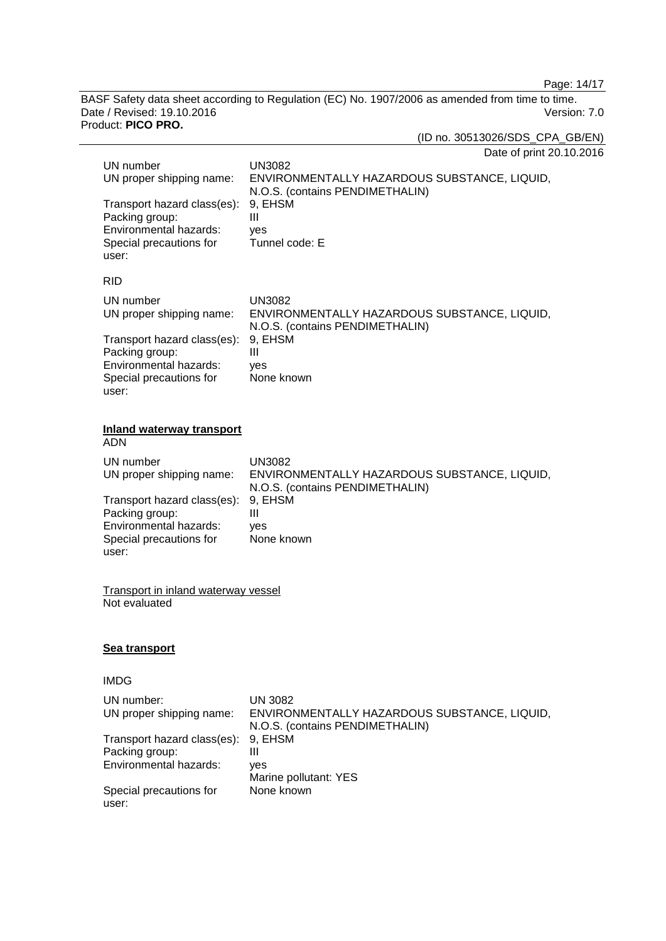Page: 14/17

BASF Safety data sheet according to Regulation (EC) No. 1907/2006 as amended from time to time. Date / Revised: 19.10.2016 Version: 7.0 Product: **PICO PRO.**

(ID no. 30513026/SDS\_CPA\_GB/EN)

Date of print 20.10.2016

| UN number<br>UN proper shipping name:<br>Transport hazard class(es):<br>Packing group:<br>Environmental hazards: | <b>UN3082</b><br>ENVIRONMENTALLY HAZARDOUS SUBSTANCE, LIQUID,<br>N.O.S. (contains PENDIMETHALIN)<br>9, EHSM<br>III |  |
|------------------------------------------------------------------------------------------------------------------|--------------------------------------------------------------------------------------------------------------------|--|
| Special precautions for<br>user:                                                                                 | yes<br>Tunnel code: E                                                                                              |  |
| <b>RID</b>                                                                                                       |                                                                                                                    |  |
| UN number<br>UN proper shipping name:                                                                            | <b>UN3082</b><br>ENVIRONMENTALLY HAZARDOUS SUBSTANCE, LIQUID,<br>N.O.S. (contains PENDIMETHALIN)                   |  |
| Transport hazard class(es):<br>Packing group:<br>Environmental hazards:<br>Special precautions for<br>user:      | 9, EHSM<br>III<br>yes<br>None known                                                                                |  |
| <b>Inland waterway transport</b><br>ADN                                                                          |                                                                                                                    |  |
| UN number<br>UN proper shipping name:                                                                            | <b>UN3082</b><br>ENVIRONMENTALLY HAZARDOUS SUBSTANCE, LIQUID,<br>N.O.S. (contains PENDIMETHALIN)                   |  |
| Transport hazard class(es):<br>Packing group:<br>Environmental hazards:<br>Special precautions for<br>user:      | 9, EHSM<br>III<br>yes<br>None known                                                                                |  |
| <b>Transport in inland waterway vessel</b><br>Not evaluated                                                      |                                                                                                                    |  |
| <b>Sea transport</b>                                                                                             |                                                                                                                    |  |
| IMDG                                                                                                             |                                                                                                                    |  |
| UN number:<br>UN proper shipping name:                                                                           | <b>UN 3082</b><br>ENVIRONMENTALLY HAZARDOUS SUBSTANCE, LIQUID,<br>N.O.S. (contains PENDIMETHALIN)                  |  |
| Transport hazard class(es):<br>Packing group:<br>Environmental hazards:                                          | 9, EHSM<br>Ш<br>yes<br>Marine pollutant: YES                                                                       |  |
| Special precautions for<br>user:                                                                                 | None known                                                                                                         |  |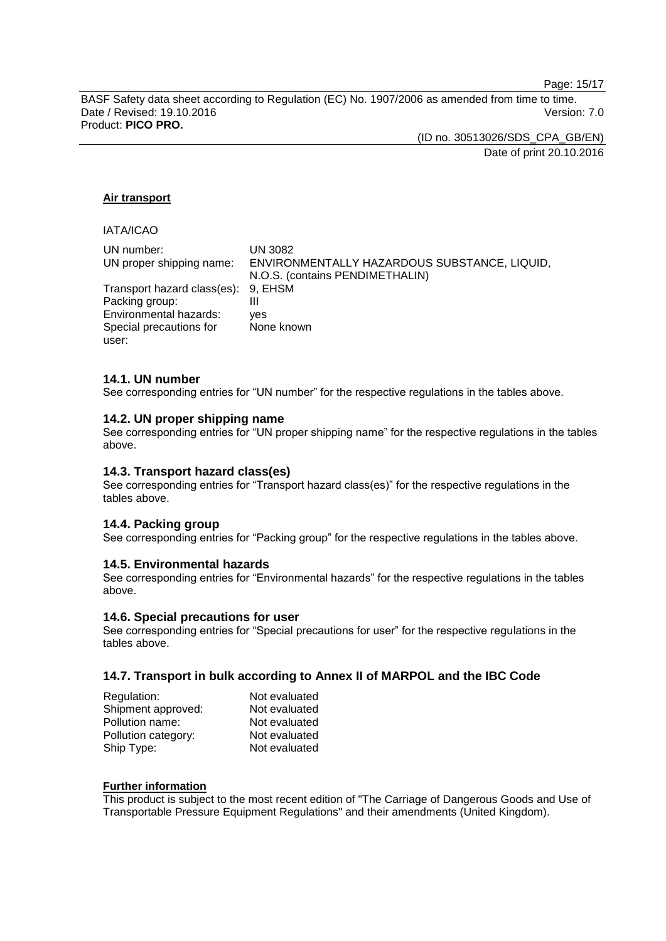Page: 15/17

BASF Safety data sheet according to Regulation (EC) No. 1907/2006 as amended from time to time. Date / Revised: 19.10.2016 Version: 7.0 Product: **PICO PRO.**

> (ID no. 30513026/SDS\_CPA\_GB/EN) Date of print 20.10.2016

# **Air transport**

# IATA/ICAO

| UN number:                          | UN 3082                                      |
|-------------------------------------|----------------------------------------------|
|                                     |                                              |
| UN proper shipping name:            | ENVIRONMENTALLY HAZARDOUS SUBSTANCE, LIQUID, |
|                                     | N.O.S. (contains PENDIMETHALIN)              |
| Transport hazard class(es): 9, EHSM |                                              |
| Packing group:                      | Ш                                            |
| Environmental hazards:              | ves                                          |
| Special precautions for             | None known                                   |
| user:                               |                                              |

# **14.1. UN number**

See corresponding entries for "UN number" for the respective regulations in the tables above.

### **14.2. UN proper shipping name**

See corresponding entries for "UN proper shipping name" for the respective regulations in the tables above.

### **14.3. Transport hazard class(es)**

See corresponding entries for "Transport hazard class(es)" for the respective regulations in the tables above.

# **14.4. Packing group**

See corresponding entries for "Packing group" for the respective regulations in the tables above.

### **14.5. Environmental hazards**

See corresponding entries for "Environmental hazards" for the respective regulations in the tables above.

### **14.6. Special precautions for user**

See corresponding entries for "Special precautions for user" for the respective regulations in the tables above.

### **14.7. Transport in bulk according to Annex II of MARPOL and the IBC Code**

| Regulation:         | Not evaluated |
|---------------------|---------------|
| Shipment approved:  | Not evaluated |
| Pollution name:     | Not evaluated |
| Pollution category: | Not evaluated |
| Ship Type:          | Not evaluated |

### **Further information**

This product is subject to the most recent edition of "The Carriage of Dangerous Goods and Use of Transportable Pressure Equipment Regulations" and their amendments (United Kingdom).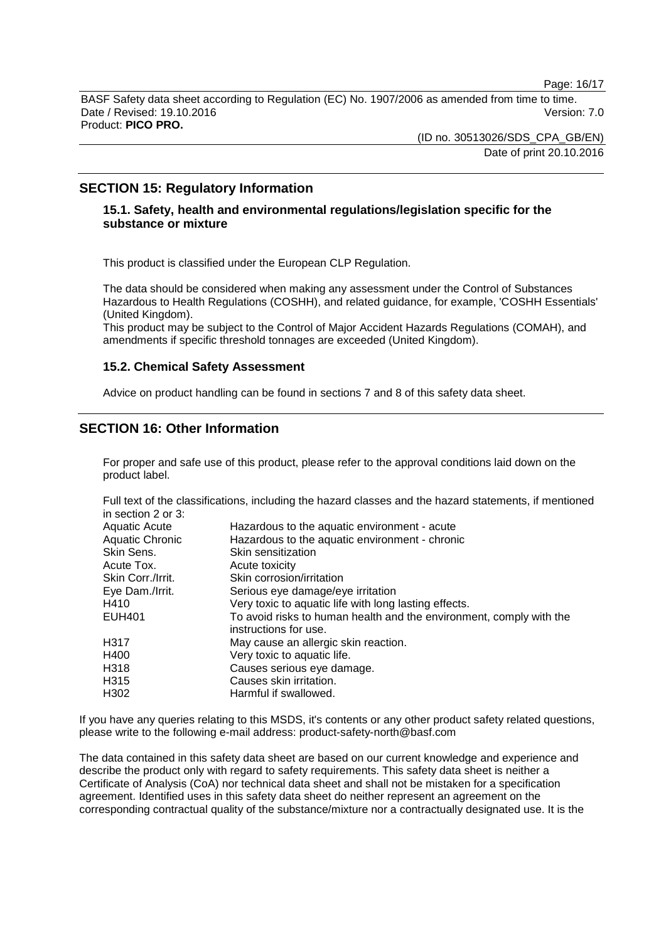Page: 16/17

BASF Safety data sheet according to Regulation (EC) No. 1907/2006 as amended from time to time. Date / Revised: 19.10.2016 Version: 7.0 Product: **PICO PRO.**

> (ID no. 30513026/SDS\_CPA\_GB/EN) Date of print 20.10.2016

# **SECTION 15: Regulatory Information**

# **15.1. Safety, health and environmental regulations/legislation specific for the substance or mixture**

This product is classified under the European CLP Regulation.

The data should be considered when making any assessment under the Control of Substances Hazardous to Health Regulations (COSHH), and related guidance, for example, 'COSHH Essentials' (United Kingdom).

This product may be subject to the Control of Major Accident Hazards Regulations (COMAH), and amendments if specific threshold tonnages are exceeded (United Kingdom).

### **15.2. Chemical Safety Assessment**

Advice on product handling can be found in sections 7 and 8 of this safety data sheet.

# **SECTION 16: Other Information**

For proper and safe use of this product, please refer to the approval conditions laid down on the product label.

Full text of the classifications, including the hazard classes and the hazard statements, if mentioned in section 2 or 3:

| Hazardous to the aquatic environment - acute<br>Hazardous to the aquatic environment - chronic<br>Skin sensitization |
|----------------------------------------------------------------------------------------------------------------------|
| Acute toxicity                                                                                                       |
| Skin corrosion/irritation                                                                                            |
| Serious eye damage/eye irritation                                                                                    |
| Very toxic to aquatic life with long lasting effects.                                                                |
| To avoid risks to human health and the environment, comply with the<br>instructions for use.                         |
| May cause an allergic skin reaction.                                                                                 |
| Very toxic to aquatic life.                                                                                          |
| Causes serious eye damage.                                                                                           |
| Causes skin irritation.                                                                                              |
| Harmful if swallowed.                                                                                                |
|                                                                                                                      |

If you have any queries relating to this MSDS, it's contents or any other product safety related questions, please write to the following e-mail address: product-safety-north@basf.com

The data contained in this safety data sheet are based on our current knowledge and experience and describe the product only with regard to safety requirements. This safety data sheet is neither a Certificate of Analysis (CoA) nor technical data sheet and shall not be mistaken for a specification agreement. Identified uses in this safety data sheet do neither represent an agreement on the corresponding contractual quality of the substance/mixture nor a contractually designated use. It is the